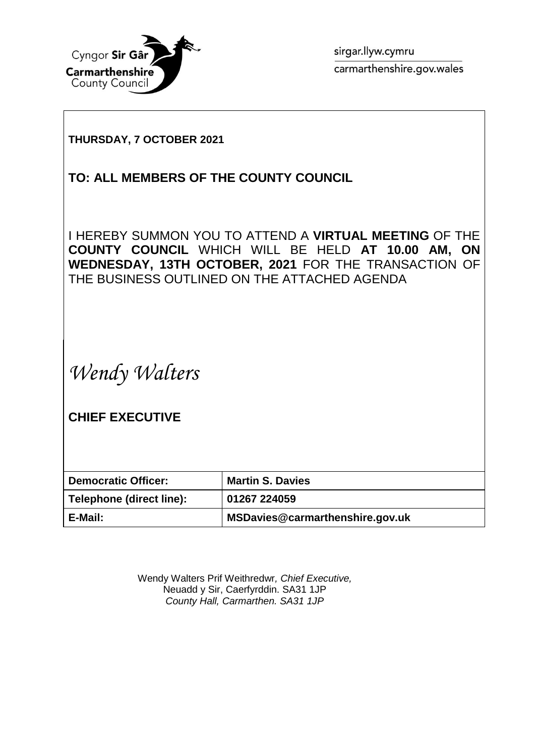

sirgar.llyw.cymru carmarthenshire.gov.wales

## **THURSDAY, 7 OCTOBER 2021**

## **TO: ALL MEMBERS OF THE COUNTY COUNCIL**

I HEREBY SUMMON YOU TO ATTEND A **VIRTUAL MEETING** OF THE **COUNTY COUNCIL** WHICH WILL BE HELD **AT 10.00 AM, ON WEDNESDAY, 13TH OCTOBER, 2021** FOR THE TRANSACTION OF THE BUSINESS OUTLINED ON THE ATTACHED AGENDA

*Wendy Walters*

**CHIEF EXECUTIVE**

| <b>Democratic Officer:</b> | <b>Martin S. Davies</b>         |
|----------------------------|---------------------------------|
| Telephone (direct line):   | 01267 224059                    |
| E-Mail:                    | MSDavies@carmarthenshire.gov.uk |

Wendy Walters Prif Weithredwr*, Chief Executive,* Neuadd y Sir, Caerfyrddin. SA31 1JP *County Hall, Carmarthen. SA31 1JP*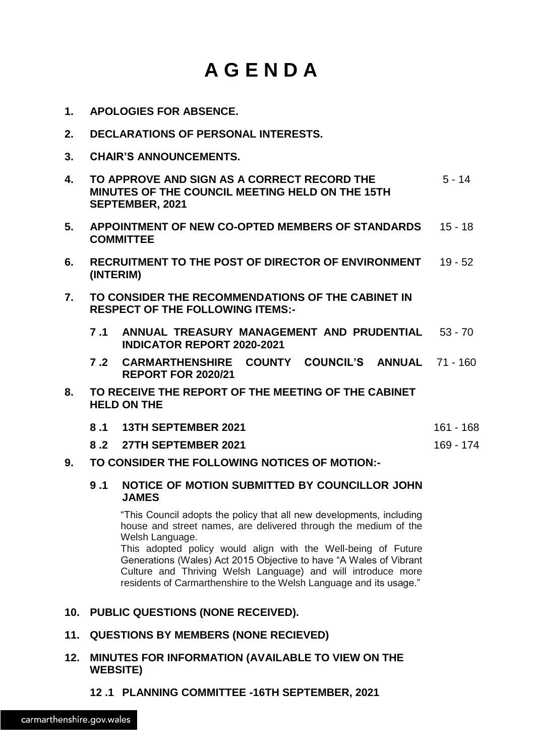# **A G E N D A**

- **1. APOLOGIES FOR ABSENCE.**
- **2. DECLARATIONS OF PERSONAL INTERESTS.**
- **3. CHAIR'S ANNOUNCEMENTS.**

| 4. | TO APPROVE AND SIGN AS A CORRECT RECORD THE<br>MINUTES OF THE COUNCIL MEETING HELD ON THE 15TH<br><b>SEPTEMBER, 2021</b> | $5 - 14$ |
|----|--------------------------------------------------------------------------------------------------------------------------|----------|
| 5. | APPOINTMENT OF NEW CO-OPTED MEMBERS OF STANDARDS<br><b>COMMITTEE</b>                                                     | 15 - 18  |

- **6. RECRUITMENT TO THE POST OF DIRECTOR OF ENVIRONMENT** 19 52 **(INTERIM)**
- **7. TO CONSIDER THE RECOMMENDATIONS OF THE CABINET IN RESPECT OF THE FOLLOWING ITEMS:-**
	- **7 .1 ANNUAL TREASURY MANAGEMENT AND PRUDENTIAL** 53 70 **INDICATOR REPORT 2020-2021**
	- **7 .2 CARMARTHENSHIRE COUNTY COUNCIL'S ANNUAL** 71 160 **REPORT FOR 2020/21**
- **8. TO RECEIVE THE REPORT OF THE MEETING OF THE CABINET HELD ON THE**

**8 .2 27TH SEPTEMBER 2021** 169 - 174

#### **9. TO CONSIDER THE FOLLOWING NOTICES OF MOTION:-**

#### **9 .1 NOTICE OF MOTION SUBMITTED BY COUNCILLOR JOHN JAMES**

"This Council adopts the policy that all new developments, including house and street names, are delivered through the medium of the Welsh Language.

This adopted policy would align with the Well-being of Future Generations (Wales) Act 2015 Objective to have "A Wales of Vibrant Culture and Thriving Welsh Language) and will introduce more residents of Carmarthenshire to the Welsh Language and its usage."

#### **10. PUBLIC QUESTIONS (NONE RECEIVED).**

#### **11. QUESTIONS BY MEMBERS (NONE RECIEVED)**

#### **12. MINUTES FOR INFORMATION (AVAILABLE TO VIEW ON THE WEBSITE)**

### **12 .1 PLANNING COMMITTEE -16TH SEPTEMBER, 2021**